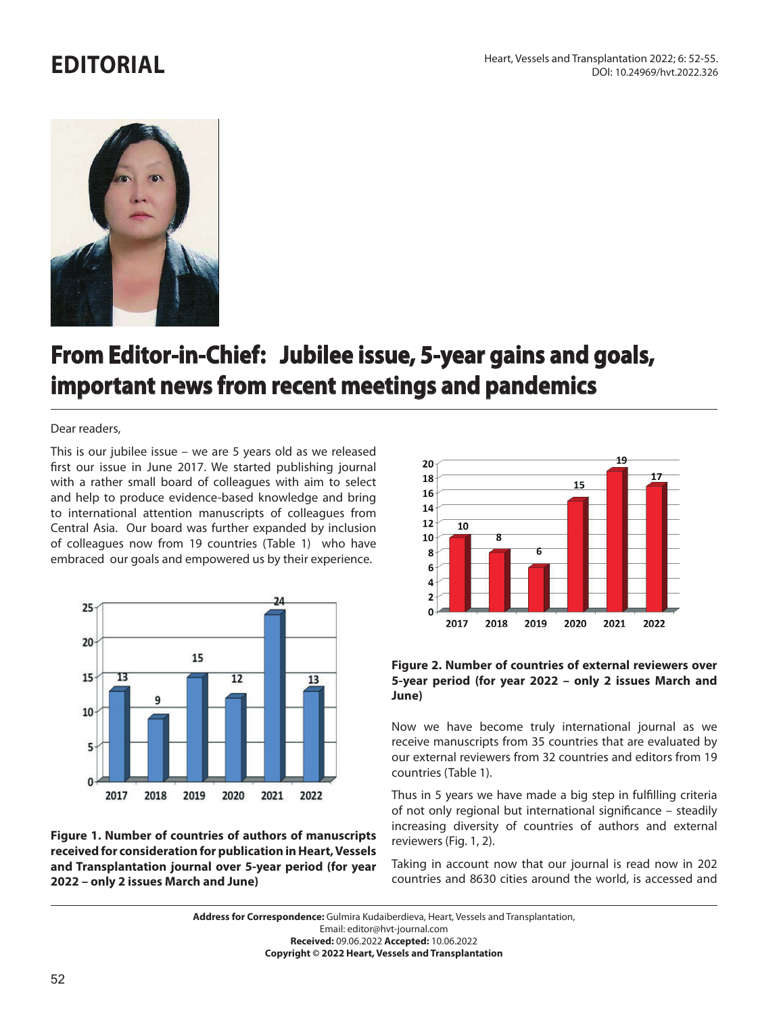## **EDITORIAL**



## **From Editor-in-Chief: Jubilee issue, 5-year gains and goals, important news from recent meetings and pandemics**

## Dear readers,

This is our jubilee issue – we are 5 years old as we released first our issue in June 2017. We started publishing journal with a rather small board of colleagues with aim to select and help to produce evidence-based knowledge and bring to international attention manuscripts of colleagues from Central Asia. Our board was further expanded by inclusion of colleagues now from 19 countries (Table 1) who have embraced our goals and empowered us by their experience.



**Figure 1. Number of countries of authors of manuscripts received for consideration for publication in Heart, Vessels and Transplantation journal over 5-year period (for year 2022 – only 2 issues March and June)**



**Figure 2. Number of countries of external reviewers over 5-year period (for year 2022 – only 2 issues March and June)**

Now we have become truly international journal as we receive manuscripts from 35 countries that are evaluated by our external reviewers from 32 countries and editors from 19 countries (Table 1).

Thus in 5 years we have made a big step in fulfilling criteria of not only regional but international significance – steadily increasing diversity of countries of authors and external reviewers (Fig. 1, 2).

Taking in account now that our journal is read now in 202 countries and 8630 cities around the world, is accessed and

**Address for Correspondence:** Gulmira Kudaiberdieva, Heart, Vessels and Transplantation, Email: editor@hvt-journal.com **Received:** 09.06.2022 **Accepted:** 10.06.2022

**Copyright © 2022 Heart, Vessels and Transplantation**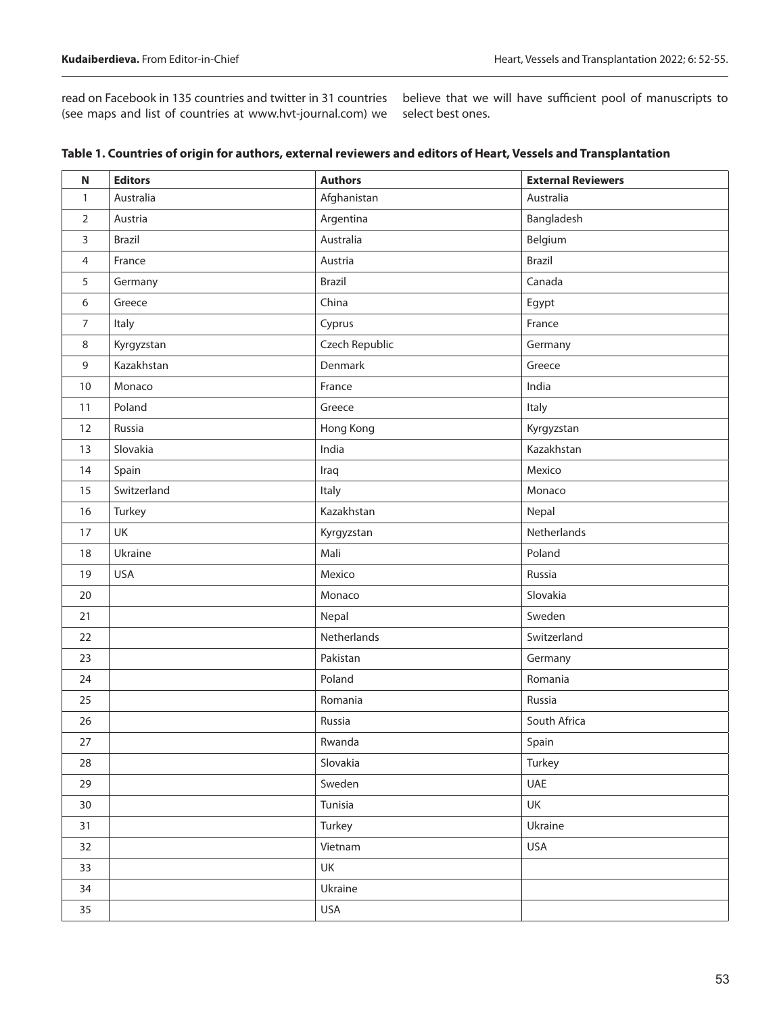(see maps and list of countries at www.hvt-journal.com) we select best ones.

read on Facebook in 135 countries and twitter in 31 countries believe that we will have sufficient pool of manuscripts to

| $\mathsf N$    | <b>Editors</b> | <b>Authors</b> | <b>External Reviewers</b> |
|----------------|----------------|----------------|---------------------------|
| 1              | Australia      | Afghanistan    | Australia                 |
| 2              | Austria        | Argentina      | Bangladesh                |
| 3              | <b>Brazil</b>  | Australia      | Belgium                   |
| $\overline{4}$ | France         | Austria        | Brazil                    |
| 5              | Germany        | Brazil         | Canada                    |
| 6              | Greece         | China          | Egypt                     |
| 7              | Italy          | Cyprus         | France                    |
| 8              | Kyrgyzstan     | Czech Republic | Germany                   |
| 9              | Kazakhstan     | Denmark        | Greece                    |
| 10             | Monaco         | France         | India                     |
| 11             | Poland         | Greece         | Italy                     |
| 12             | Russia         | Hong Kong      | Kyrgyzstan                |
| 13             | Slovakia       | India          | Kazakhstan                |
| 14             | Spain          | Iraq           | Mexico                    |
| 15             | Switzerland    | Italy          | Monaco                    |
| 16             | Turkey         | Kazakhstan     | Nepal                     |
| 17             | UK             | Kyrgyzstan     | Netherlands               |
| 18             | Ukraine        | Mali           | Poland                    |
| 19             | <b>USA</b>     | Mexico         | Russia                    |
| 20             |                | Monaco         | Slovakia                  |
| 21             |                | Nepal          | Sweden                    |
| 22             |                | Netherlands    | Switzerland               |
| 23             |                | Pakistan       | Germany                   |
| 24             |                | Poland         | Romania                   |
| 25             |                | Romania        | Russia                    |
| 26             |                | Russia         | South Africa              |
| 27             |                | Rwanda         | Spain                     |
| 28             |                | Slovakia       | Turkey                    |
| 29             |                | Sweden         | <b>UAE</b>                |
| 30             |                | Tunisia        | UK                        |
| 31             |                | Turkey         | Ukraine                   |
| 32             |                | Vietnam        | <b>USA</b>                |
| 33             |                | UK             |                           |
| 34             |                | Ukraine        |                           |
| 35             |                | USA            |                           |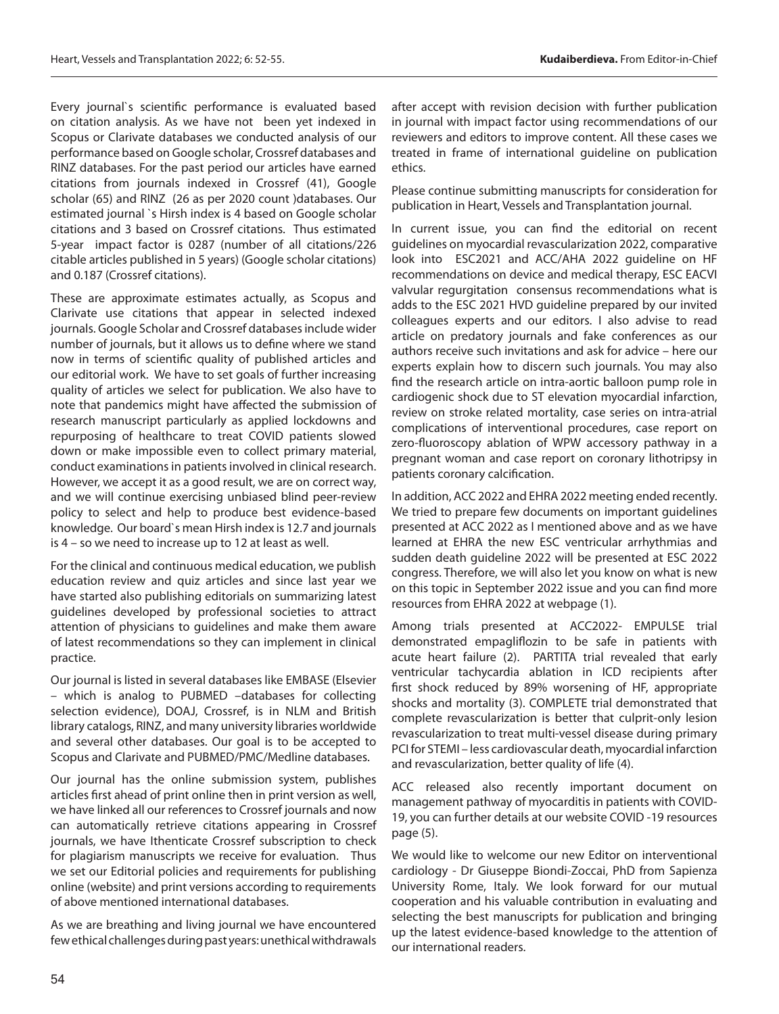Every journal`s scientific performance is evaluated based on citation analysis. As we have not been yet indexed in Scopus or Clarivate databases we conducted analysis of our performance based on Google scholar, Crossref databases and RINZ databases. For the past period our articles have earned citations from journals indexed in Crossref (41), Google scholar (65) and RINZ (26 as per 2020 count )databases. Our estimated journal `s Hirsh index is 4 based on Google scholar citations and 3 based on Crossref citations. Thus estimated 5-year impact factor is 0287 (number of all citations/226 citable articles published in 5 years) (Google scholar citations) and 0.187 (Crossref citations).

These are approximate estimates actually, as Scopus and Clarivate use citations that appear in selected indexed journals. Google Scholar and Crossref databases include wider number of journals, but it allows us to define where we stand now in terms of scientific quality of published articles and our editorial work. We have to set goals of further increasing quality of articles we select for publication. We also have to note that pandemics might have affected the submission of research manuscript particularly as applied lockdowns and repurposing of healthcare to treat COVID patients slowed down or make impossible even to collect primary material, conduct examinations in patients involved in clinical research. However, we accept it as a good result, we are on correct way, and we will continue exercising unbiased blind peer-review policy to select and help to produce best evidence-based knowledge. Our board`s mean Hirsh index is 12.7 and journals is 4 – so we need to increase up to 12 at least as well.

For the clinical and continuous medical education, we publish education review and quiz articles and since last year we have started also publishing editorials on summarizing latest guidelines developed by professional societies to attract attention of physicians to guidelines and make them aware of latest recommendations so they can implement in clinical practice.

Our journal is listed in several databases like EMBASE (Elsevier – which is analog to PUBMED –databases for collecting selection evidence), DOAJ, Crossref, is in NLM and British library catalogs, RINZ, and many university libraries worldwide and several other databases. Our goal is to be accepted to Scopus and Clarivate and PUBMED/PMC/Medline databases.

Our journal has the online submission system, publishes articles first ahead of print online then in print version as well, we have linked all our references to Crossref journals and now can automatically retrieve citations appearing in Crossref journals, we have Ithenticate Crossref subscription to check for plagiarism manuscripts we receive for evaluation. Thus we set our Editorial policies and requirements for publishing online (website) and print versions according to requirements of above mentioned international databases.

As we are breathing and living journal we have encountered few ethical challenges during past years: unethical withdrawals

after accept with revision decision with further publication in journal with impact factor using recommendations of our reviewers and editors to improve content. All these cases we treated in frame of international guideline on publication ethics.

Please continue submitting manuscripts for consideration for publication in Heart, Vessels and Transplantation journal.

In current issue, you can find the editorial on recent guidelines on myocardial revascularization 2022, comparative look into ESC2021 and ACC/AHA 2022 guideline on HF recommendations on device and medical therapy, ESC EACVI valvular regurgitation consensus recommendations what is adds to the ESC 2021 HVD guideline prepared by our invited colleagues experts and our editors. I also advise to read article on predatory journals and fake conferences as our authors receive such invitations and ask for advice – here our experts explain how to discern such journals. You may also find the research article on intra-aortic balloon pump role in cardiogenic shock due to ST elevation myocardial infarction, review on stroke related mortality, case series on intra-atrial complications of interventional procedures, case report on zero-fluoroscopy ablation of WPW accessory pathway in a pregnant woman and case report on coronary lithotripsy in patients coronary calcification.

In addition, ACC 2022 and EHRA 2022 meeting ended recently. We tried to prepare few documents on important guidelines presented at ACC 2022 as I mentioned above and as we have learned at EHRA the new ESC ventricular arrhythmias and sudden death guideline 2022 will be presented at ESC 2022 congress. Therefore, we will also let you know on what is new on this topic in September 2022 issue and you can find more resources from EHRA 2022 at webpage (1).

Among trials presented at ACC2022- EMPULSE trial demonstrated empagliflozin to be safe in patients with acute heart failure (2). PARTITA trial revealed that early ventricular tachycardia ablation in ICD recipients after first shock reduced by 89% worsening of HF, appropriate shocks and mortality (3). COMPLETE trial demonstrated that complete revascularization is better that culprit-only lesion revascularization to treat multi-vessel disease during primary PCI for STEMI – less cardiovascular death, myocardial infarction and revascularization, better quality of life (4).

ACC released also recently important document on management pathway of myocarditis in patients with COVID-19, you can further details at our website COVID -19 resources page (5).

We would like to welcome our new Editor on interventional cardiology - Dr Giuseppe Biondi-Zoccai, PhD from Sapienza University Rome, Italy. We look forward for our mutual cooperation and his valuable contribution in evaluating and selecting the best manuscripts for publication and bringing up the latest evidence-based knowledge to the attention of our international readers.